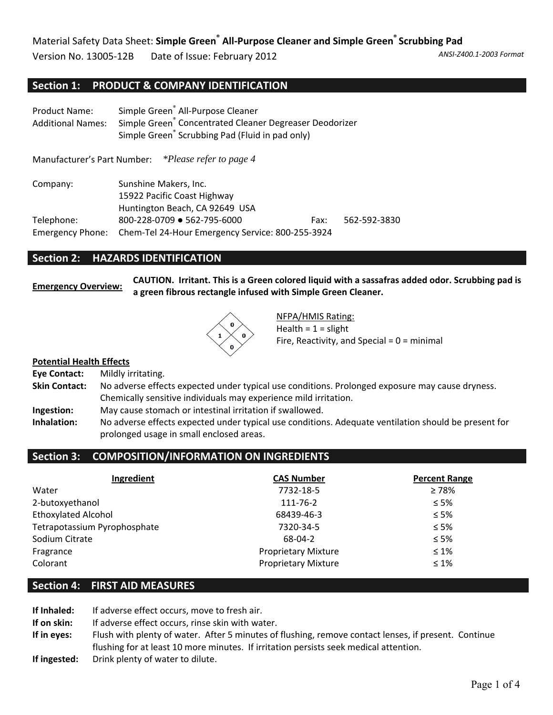Version No. 13005‐12B Date of Issue: February 2012 *ANSI‐Z400.1‐2003 Format*

## **Section 1: PRODUCT & COMPANY IDENTIFICATION**

| <b>Product Name:</b><br><b>Additional Names:</b> | Simple Green <sup>®</sup> All-Purpose Cleaner<br>Simple Green <sup>®</sup> Concentrated Cleaner Degreaser Deodorizer<br>Simple Green <sup>®</sup> Scrubbing Pad (Fluid in pad only) |  |  |
|--------------------------------------------------|-------------------------------------------------------------------------------------------------------------------------------------------------------------------------------------|--|--|
|                                                  | Manufacturer's Part Number: *Please refer to page 4                                                                                                                                 |  |  |
| Company:                                         | Sunshine Makers, Inc.<br>15922 Pacific Coast Highway<br>Huntington Beach, CA 92649 USA                                                                                              |  |  |
| Telephone:                                       | 800-228-0709 • 562-795-6000<br>562-592-3830<br>Fax:                                                                                                                                 |  |  |
| <b>Emergency Phone:</b>                          | Chem-Tel 24-Hour Emergency Service: 800-255-3924                                                                                                                                    |  |  |

## **Section 2: HAZARDS IDENTIFICATION**

Emergency Overview: CAUTION. Irritant. This is a Green colored liquid with a sassafras added odor. Scrubbing pad is **a green fibrous rectangle infused with Simple Green Cleaner.**



NFPA/HMIS Rating: Health =  $1$  = slight Fire, Reactivity, and Special =  $0 =$  minimal

### **Potential Health Effects**

| Eye Contact:         | Mildly irritating.                                                                                  |
|----------------------|-----------------------------------------------------------------------------------------------------|
| <b>Skin Contact:</b> | No adverse effects expected under typical use conditions. Prolonged exposure may cause dryness.     |
|                      | Chemically sensitive individuals may experience mild irritation.                                    |
| Ingestion:           | May cause stomach or intestinal irritation if swallowed.                                            |
| Inhalation:          | No adverse effects expected under typical use conditions. Adequate ventilation should be present fo |

**Inhalation:** No adverse effects expected under typical use conditions. Adequate ventilation should be present for prolonged usage in small enclosed areas.

## **Section 3: COMPOSITION/INFORMATION ON INGREDIENTS**

| Ingredient                   | <b>CAS Number</b>          | <b>Percent Range</b> |
|------------------------------|----------------------------|----------------------|
| Water                        | 7732-18-5                  | $\geq 78\%$          |
| 2-butoxyethanol              | 111-76-2                   | $\leq 5\%$           |
| <b>Ethoxylated Alcohol</b>   | 68439-46-3                 | $\leq 5\%$           |
| Tetrapotassium Pyrophosphate | 7320-34-5                  | $\leq 5\%$           |
| Sodium Citrate               | 68-04-2                    | $\leq 5\%$           |
| Fragrance                    | <b>Proprietary Mixture</b> | $\leq 1\%$           |
| Colorant                     | <b>Proprietary Mixture</b> | $\leq 1\%$           |

## **Section 4: FIRST AID MEASURES**

**If Inhaled:** If adverse effect occurs, move to fresh air. **If on skin:** If adverse effect occurs, rinse skin with water. **If in eyes:** Flush with plenty of water. After 5 minutes of flushing, remove contact lenses, if present. Continue flushing for at least 10 more minutes. If irritation persists seek medical attention. **If ingested:** Drink plenty of water to dilute.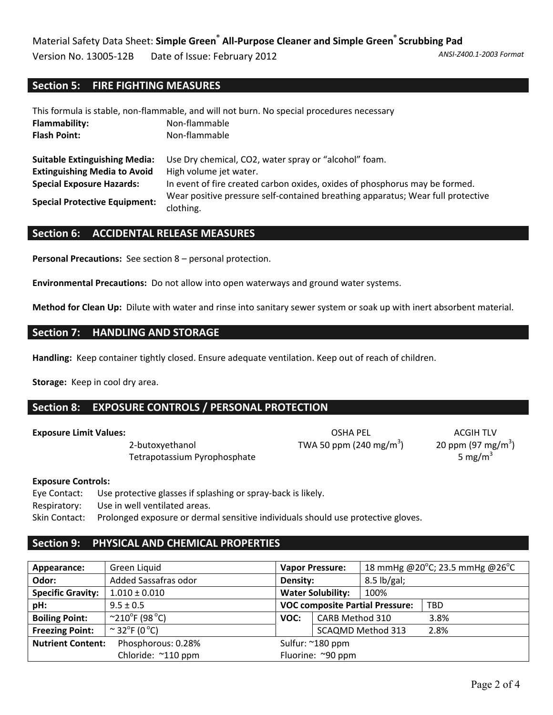Version No. 13005‐12B Date of Issue: February 2012 *ANSI‐Z400.1‐2003 Format*

## **Section 5: FIRE FIGHTING MEASURES**

| This formula is stable, non-flammable, and will not burn. No special procedures necessary |                                                                                              |  |  |  |
|-------------------------------------------------------------------------------------------|----------------------------------------------------------------------------------------------|--|--|--|
| Flammability:                                                                             | Non-flammable                                                                                |  |  |  |
| <b>Flash Point:</b>                                                                       | Non-flammable                                                                                |  |  |  |
| <b>Suitable Extinguishing Media:</b>                                                      | Use Dry chemical, CO2, water spray or "alcohol" foam.                                        |  |  |  |
| <b>Extinguishing Media to Avoid</b>                                                       | High volume jet water.                                                                       |  |  |  |
| <b>Special Exposure Hazards:</b>                                                          | In event of fire created carbon oxides, oxides of phosphorus may be formed.                  |  |  |  |
| <b>Special Protective Equipment:</b>                                                      | Wear positive pressure self-contained breathing apparatus; Wear full protective<br>clothing. |  |  |  |

## **Section 6: ACCIDENTAL RELEASE MEASURES**

**Personal Precautions:** See section 8 – personal protection.

**Environmental Precautions:** Do not allow into open waterways and ground water systems.

**Method for Clean Up:** Dilute with water and rinse into sanitary sewer system or soak up with inert absorbent material.

## **Section 7: HANDLING AND STORAGE**

**Handling:** Keep container tightly closed. Ensure adequate ventilation. Keep out of reach of children.

**Storage:** Keep in cool dry area.

## **Section 8: EXPOSURE CONTROLS / PERSONAL PROTECTION**

2-butoxyethanol  $TWA 50 ppm (240 mg/m<sup>3</sup>)$ Tetrapotassium Pyrophosphate  $5 \text{ mg/m}^3$ 

**Exposure Limit Values:** The Company of the Company of Company of Company of Company of ACGIH TLV

)  $20$  ppm (97 mg/m $^3$ )

### **Exposure Controls:**

Eye Contact: Use protective glasses if splashing or spray‐back is likely.

Respiratory: Use in well ventilated areas.

Skin Contact: Prolonged exposure or dermal sensitive individuals should use protective gloves.

## **Section 9: PHYSICAL AND CHEMICAL PROPERTIES**

| Green Liquid<br>Appearance:                    |                                           | <b>Vapor Pressure:</b> |                          | 18 mmHg @20°C; 23.5 mmHg @26°C         |            |
|------------------------------------------------|-------------------------------------------|------------------------|--------------------------|----------------------------------------|------------|
| Odor:                                          | Added Sassafras odor<br>Density:          |                        | $8.5$ lb/gal;            |                                        |            |
| <b>Specific Gravity:</b>                       | $1.010 \pm 0.010$                         |                        | <b>Water Solubility:</b> | 100%                                   |            |
| pH:                                            | $9.5 \pm 0.5$                             |                        |                          | <b>VOC composite Partial Pressure:</b> | <b>TBD</b> |
| <b>Boiling Point:</b>                          | $^{\circ}210^{\circ}$ F (98 $^{\circ}$ C) | VOC:                   | CARB Method 310          |                                        | 3.8%       |
| <b>Freezing Point:</b>                         | $\sim$ 32°F (0 °C)                        |                        |                          | <b>SCAQMD Method 313</b>               | 2.8%       |
| <b>Nutrient Content:</b><br>Phosphorous: 0.28% |                                           | Sulfur: ~180 ppm       |                          |                                        |            |
|                                                | Chloride: ~110 ppm                        |                        | Fluorine: ~90 ppm        |                                        |            |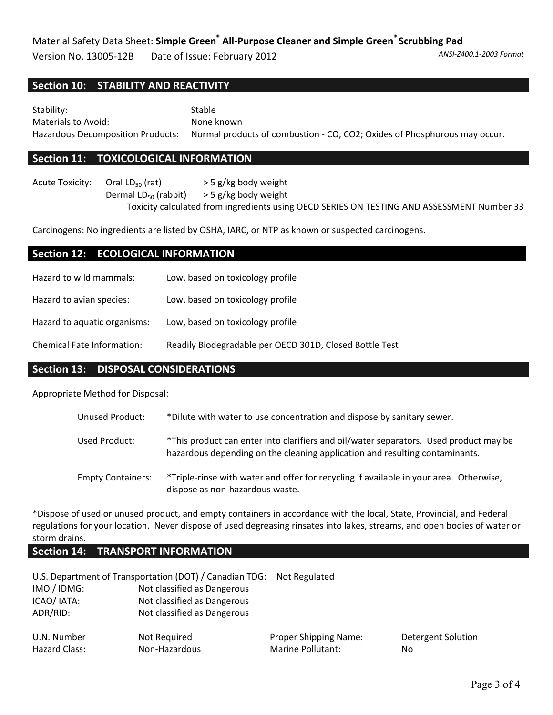# Material Safety Data Sheet: **Simple Green® All‐Purpose Cleaner and Simple Green® Scrubbing Pad**

Version No. 13005‐12B Date of Issue: February 2012 *ANSI‐Z400.1‐2003 Format*

## **Section 10: STABILITY AND REACTIVITY**

Stability: Stable Materials to Avoid: None known Hazardous Decomposition Products: Normal products of combustion ‐ CO, CO2; Oxides of Phosphorous may occur.

## **Section 11: TOXICOLOGICAL INFORMATION**

Acute Toxicity: Oral  $LD_{50}$  (rat)  $>$  5 g/kg body weight Dermal  $LD_{50}$  (rabbit)  $>$  5 g/kg body weight Toxicity calculated from ingredients using OECD SERIES ON TESTING AND ASSESSMENT Number 33

Carcinogens: No ingredients are listed by OSHA, IARC, or NTP as known or suspected carcinogens.

## **Section 12: ECOLOGICAL INFORMATION**

| Hazard to wild mammals:      | Low, based on toxicology profile                        |
|------------------------------|---------------------------------------------------------|
| Hazard to avian species:     | Low, based on toxicology profile                        |
| Hazard to aquatic organisms: | Low, based on toxicology profile                        |
| Chemical Fate Information:   | Readily Biodegradable per OECD 301D, Closed Bottle Test |

## **Section 13: DISPOSAL CONSIDERATIONS**

Appropriate Method for Disposal:

| Unused Product:          | *Dilute with water to use concentration and dispose by sanitary sewer.                                                                                               |
|--------------------------|----------------------------------------------------------------------------------------------------------------------------------------------------------------------|
| Used Product:            | *This product can enter into clarifiers and oil/water separators. Used product may be<br>hazardous depending on the cleaning application and resulting contaminants. |
| <b>Empty Containers:</b> | *Triple-rinse with water and offer for recycling if available in your area. Otherwise,<br>dispose as non-hazardous waste.                                            |

\*Dispose of used or unused product, and empty containers in accordance with the local, State, Provincial, and Federal regulations for your location. Never dispose of used degreasing rinsates into lakes, streams, and open bodies of water or storm drains.

## **Section 14: TRANSPORT INFORMATION**

|                              | U.S. Department of Transportation (DOT) / Canadian TDG: Not Regulated |                                                   |                           |
|------------------------------|-----------------------------------------------------------------------|---------------------------------------------------|---------------------------|
| IMO / IDMG:                  | Not classified as Dangerous                                           |                                                   |                           |
| ICAO/ IATA:                  | Not classified as Dangerous                                           |                                                   |                           |
| ADR/RID:                     | Not classified as Dangerous                                           |                                                   |                           |
| U.N. Number<br>Hazard Class: | Not Required<br>Non-Hazardous                                         | <b>Proper Shipping Name:</b><br>Marine Pollutant: | <b>Detergent Solution</b> |
|                              |                                                                       |                                                   | No.                       |